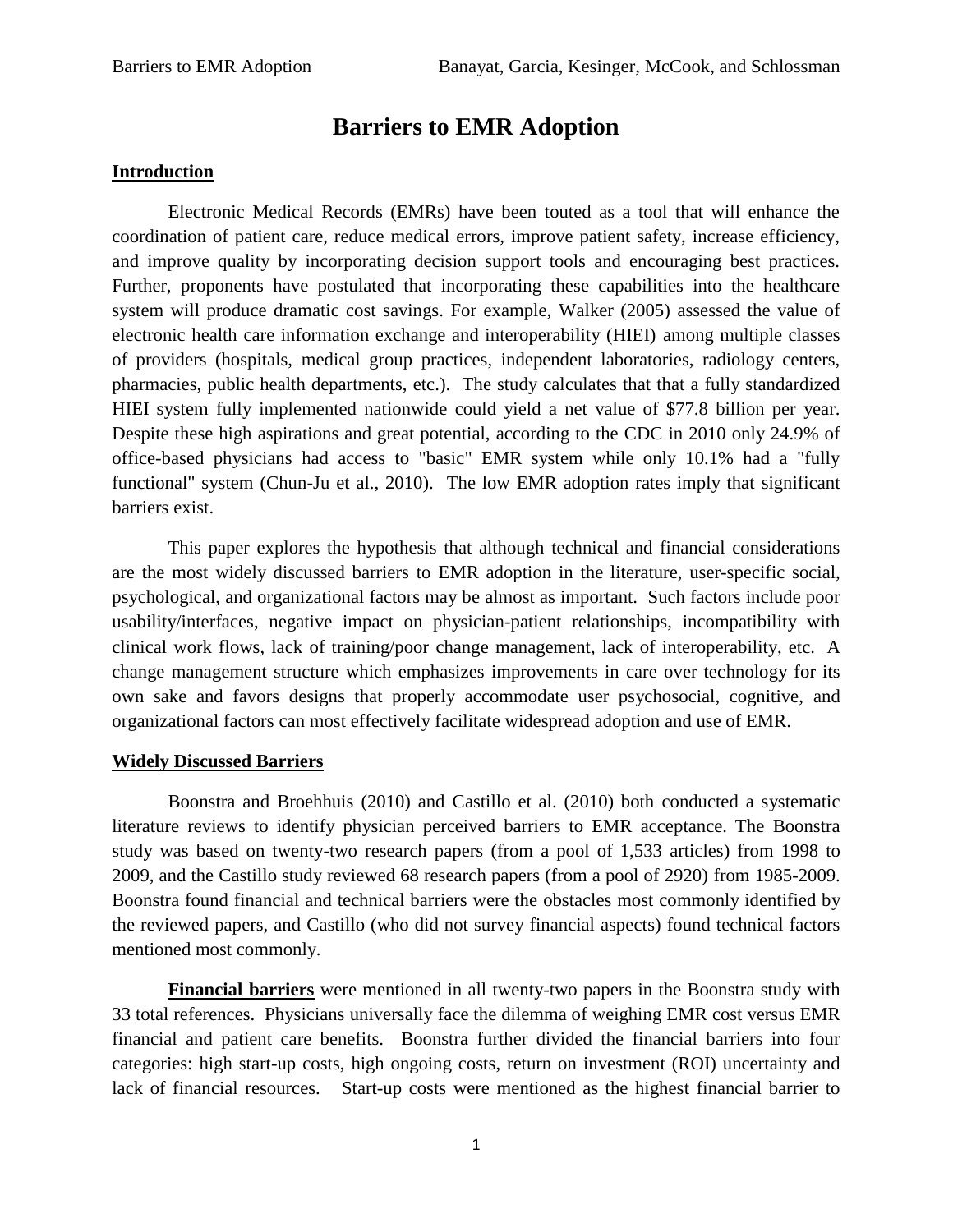# **Barriers to EMR Adoption**

#### **Introduction**

Electronic Medical Records (EMRs) have been touted as a tool that will enhance the coordination of patient care, reduce medical errors, improve patient safety, increase efficiency, and improve quality by incorporating decision support tools and encouraging best practices. Further, proponents have postulated that incorporating these capabilities into the healthcare system will produce dramatic cost savings. For example, Walker (2005) assessed the value of electronic health care information exchange and interoperability (HIEI) among multiple classes of providers (hospitals, medical group practices, independent laboratories, radiology centers, pharmacies, public health departments, etc.). The study calculates that that a fully standardized HIEI system fully implemented nationwide could yield a net value of \$77.8 billion per year. Despite these high aspirations and great potential, according to the CDC in 2010 only 24.9% of office-based physicians had access to "basic" EMR system while only 10.1% had a "fully functional" system (Chun-Ju et al., 2010). The low EMR adoption rates imply that significant barriers exist.

This paper explores the hypothesis that although technical and financial considerations are the most widely discussed barriers to EMR adoption in the literature, user-specific social, psychological, and organizational factors may be almost as important. Such factors include poor usability/interfaces, negative impact on physician-patient relationships, incompatibility with clinical work flows, lack of training/poor change management, lack of interoperability, etc. A change management structure which emphasizes improvements in care over technology for its own sake and favors designs that properly accommodate user psychosocial, cognitive, and organizational factors can most effectively facilitate widespread adoption and use of EMR.

#### **Widely Discussed Barriers**

Boonstra and Broehhuis (2010) and Castillo et al. (2010) both conducted a systematic literature reviews to identify physician perceived barriers to EMR acceptance. The Boonstra study was based on twenty-two research papers (from a pool of 1,533 articles) from 1998 to 2009, and the Castillo study reviewed 68 research papers (from a pool of 2920) from 1985-2009. Boonstra found financial and technical barriers were the obstacles most commonly identified by the reviewed papers, and Castillo (who did not survey financial aspects) found technical factors mentioned most commonly.

**Financial barriers** were mentioned in all twenty-two papers in the Boonstra study with 33 total references. Physicians universally face the dilemma of weighing EMR cost versus EMR financial and patient care benefits. Boonstra further divided the financial barriers into four categories: high start-up costs, high ongoing costs, return on investment (ROI) uncertainty and lack of financial resources. Start-up costs were mentioned as the highest financial barrier to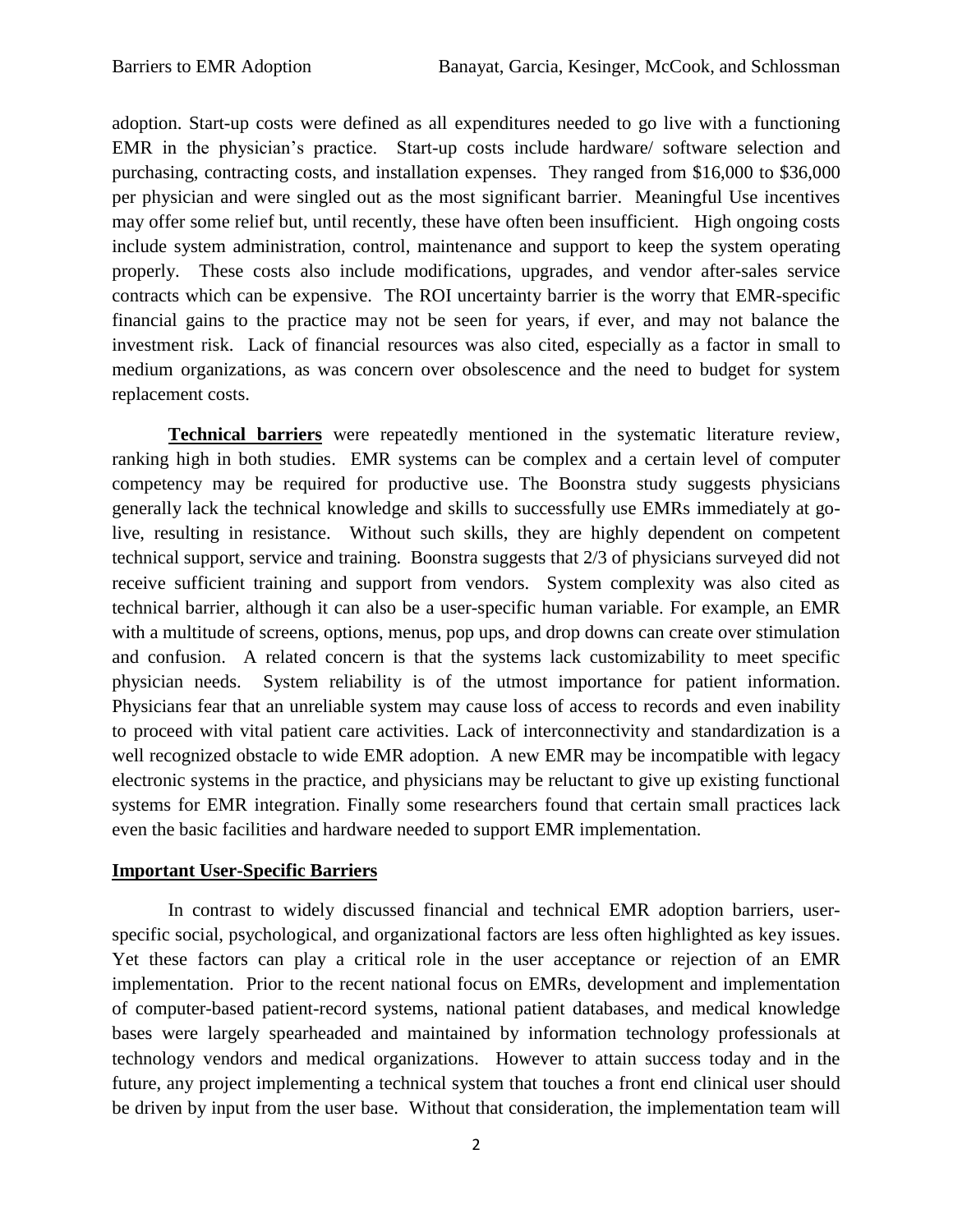adoption. Start-up costs were defined as all expenditures needed to go live with a functioning EMR in the physician's practice. Start-up costs include hardware/ software selection and purchasing, contracting costs, and installation expenses. They ranged from \$16,000 to \$36,000 per physician and were singled out as the most significant barrier. Meaningful Use incentives may offer some relief but, until recently, these have often been insufficient. High ongoing costs include system administration, control, maintenance and support to keep the system operating properly. These costs also include modifications, upgrades, and vendor after-sales service contracts which can be expensive. The ROI uncertainty barrier is the worry that EMR-specific financial gains to the practice may not be seen for years, if ever, and may not balance the investment risk. Lack of financial resources was also cited, especially as a factor in small to medium organizations, as was concern over obsolescence and the need to budget for system replacement costs.

**Technical barriers** were repeatedly mentioned in the systematic literature review, ranking high in both studies. EMR systems can be complex and a certain level of computer competency may be required for productive use. The Boonstra study suggests physicians generally lack the technical knowledge and skills to successfully use EMRs immediately at golive, resulting in resistance. Without such skills, they are highly dependent on competent technical support, service and training. Boonstra suggests that 2/3 of physicians surveyed did not receive sufficient training and support from vendors. System complexity was also cited as technical barrier, although it can also be a user-specific human variable. For example, an EMR with a multitude of screens, options, menus, pop ups, and drop downs can create over stimulation and confusion. A related concern is that the systems lack customizability to meet specific physician needs. System reliability is of the utmost importance for patient information. Physicians fear that an unreliable system may cause loss of access to records and even inability to proceed with vital patient care activities. Lack of interconnectivity and standardization is a well recognized obstacle to wide EMR adoption. A new EMR may be incompatible with legacy electronic systems in the practice, and physicians may be reluctant to give up existing functional systems for EMR integration. Finally some researchers found that certain small practices lack even the basic facilities and hardware needed to support EMR implementation.

## **Important User-Specific Barriers**

In contrast to widely discussed financial and technical EMR adoption barriers, userspecific social, psychological, and organizational factors are less often highlighted as key issues. Yet these factors can play a critical role in the user acceptance or rejection of an EMR implementation. Prior to the recent national focus on EMRs, development and implementation of computer-based patient-record systems, national patient databases, and medical knowledge bases were largely spearheaded and maintained by information technology professionals at technology vendors and medical organizations. However to attain success today and in the future, any project implementing a technical system that touches a front end clinical user should be driven by input from the user base. Without that consideration, the implementation team will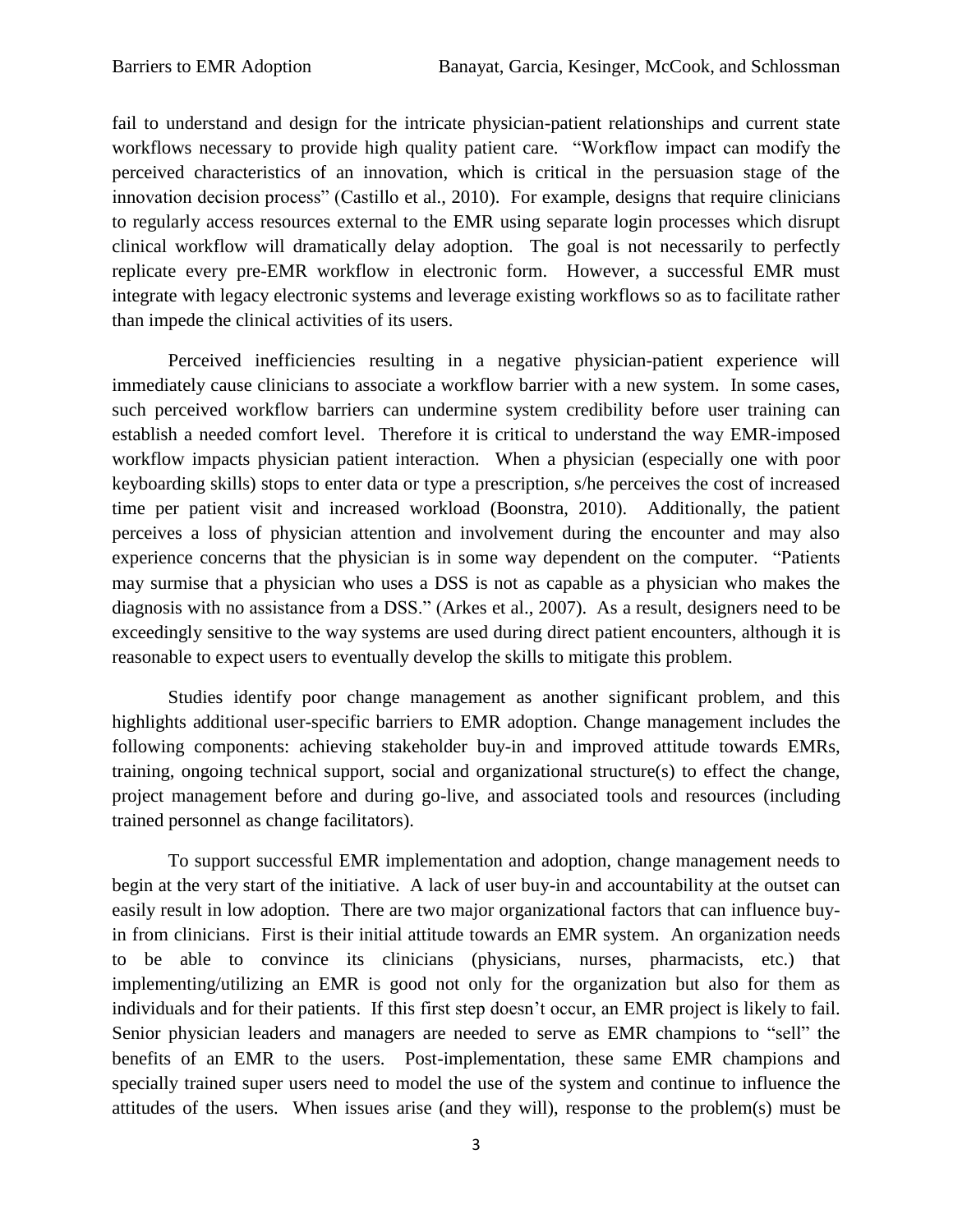fail to understand and design for the intricate physician-patient relationships and current state workflows necessary to provide high quality patient care. "Workflow impact can modify the perceived characteristics of an innovation, which is critical in the persuasion stage of the innovation decision process" (Castillo et al., 2010). For example, designs that require clinicians to regularly access resources external to the EMR using separate login processes which disrupt clinical workflow will dramatically delay adoption. The goal is not necessarily to perfectly replicate every pre-EMR workflow in electronic form. However, a successful EMR must integrate with legacy electronic systems and leverage existing workflows so as to facilitate rather than impede the clinical activities of its users.

Perceived inefficiencies resulting in a negative physician-patient experience will immediately cause clinicians to associate a workflow barrier with a new system. In some cases, such perceived workflow barriers can undermine system credibility before user training can establish a needed comfort level. Therefore it is critical to understand the way EMR-imposed workflow impacts physician patient interaction. When a physician (especially one with poor keyboarding skills) stops to enter data or type a prescription, s/he perceives the cost of increased time per patient visit and increased workload (Boonstra, 2010). Additionally, the patient perceives a loss of physician attention and involvement during the encounter and may also experience concerns that the physician is in some way dependent on the computer. "Patients may surmise that a physician who uses a DSS is not as capable as a physician who makes the diagnosis with no assistance from a DSS." (Arkes et al., 2007). As a result, designers need to be exceedingly sensitive to the way systems are used during direct patient encounters, although it is reasonable to expect users to eventually develop the skills to mitigate this problem.

Studies identify poor change management as another significant problem, and this highlights additional user-specific barriers to EMR adoption. Change management includes the following components: achieving stakeholder buy-in and improved attitude towards EMRs, training, ongoing technical support, social and organizational structure(s) to effect the change, project management before and during go-live, and associated tools and resources (including trained personnel as change facilitators).

To support successful EMR implementation and adoption, change management needs to begin at the very start of the initiative. A lack of user buy-in and accountability at the outset can easily result in low adoption. There are two major organizational factors that can influence buyin from clinicians. First is their initial attitude towards an EMR system. An organization needs to be able to convince its clinicians (physicians, nurses, pharmacists, etc.) that implementing/utilizing an EMR is good not only for the organization but also for them as individuals and for their patients. If this first step doesn't occur, an EMR project is likely to fail. Senior physician leaders and managers are needed to serve as EMR champions to "sell" the benefits of an EMR to the users. Post-implementation, these same EMR champions and specially trained super users need to model the use of the system and continue to influence the attitudes of the users. When issues arise (and they will), response to the problem(s) must be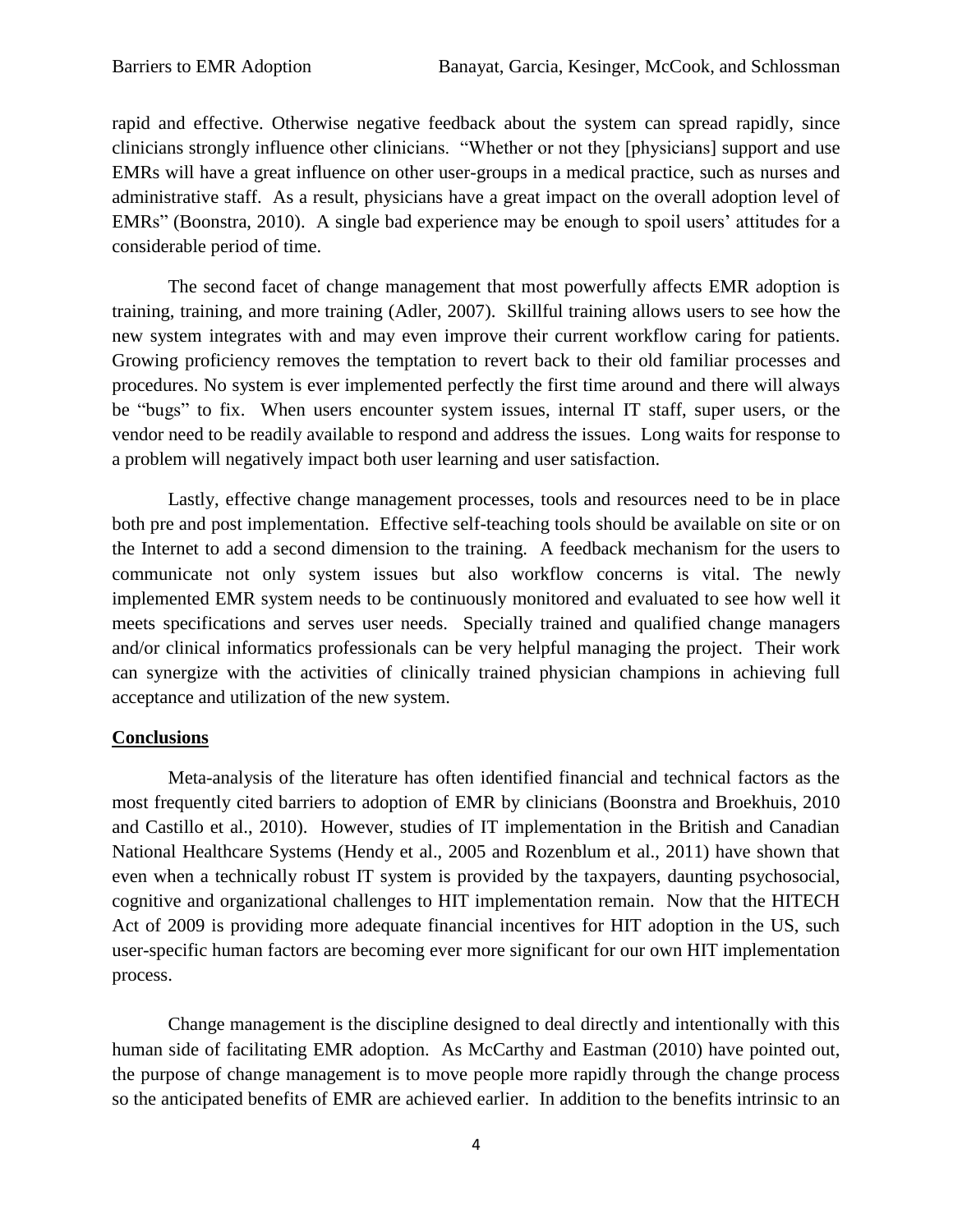rapid and effective. Otherwise negative feedback about the system can spread rapidly, since clinicians strongly influence other clinicians. "Whether or not they [physicians] support and use EMRs will have a great influence on other user-groups in a medical practice, such as nurses and administrative staff. As a result, physicians have a great impact on the overall adoption level of EMRs" (Boonstra, 2010). A single bad experience may be enough to spoil users' attitudes for a considerable period of time.

The second facet of change management that most powerfully affects EMR adoption is training, training, and more training (Adler, 2007). Skillful training allows users to see how the new system integrates with and may even improve their current workflow caring for patients. Growing proficiency removes the temptation to revert back to their old familiar processes and procedures. No system is ever implemented perfectly the first time around and there will always be "bugs" to fix. When users encounter system issues, internal IT staff, super users, or the vendor need to be readily available to respond and address the issues. Long waits for response to a problem will negatively impact both user learning and user satisfaction.

Lastly, effective change management processes, tools and resources need to be in place both pre and post implementation. Effective self-teaching tools should be available on site or on the Internet to add a second dimension to the training. A feedback mechanism for the users to communicate not only system issues but also workflow concerns is vital. The newly implemented EMR system needs to be continuously monitored and evaluated to see how well it meets specifications and serves user needs. Specially trained and qualified change managers and/or clinical informatics professionals can be very helpful managing the project. Their work can synergize with the activities of clinically trained physician champions in achieving full acceptance and utilization of the new system.

## **Conclusions**

Meta-analysis of the literature has often identified financial and technical factors as the most frequently cited barriers to adoption of EMR by clinicians (Boonstra and Broekhuis, 2010 and Castillo et al., 2010). However, studies of IT implementation in the British and Canadian National Healthcare Systems (Hendy et al., 2005 and Rozenblum et al., 2011) have shown that even when a technically robust IT system is provided by the taxpayers, daunting psychosocial, cognitive and organizational challenges to HIT implementation remain. Now that the HITECH Act of 2009 is providing more adequate financial incentives for HIT adoption in the US, such user-specific human factors are becoming ever more significant for our own HIT implementation process.

Change management is the discipline designed to deal directly and intentionally with this human side of facilitating EMR adoption. As McCarthy and Eastman (2010) have pointed out, the purpose of change management is to move people more rapidly through the change process so the anticipated benefits of EMR are achieved earlier. In addition to the benefits intrinsic to an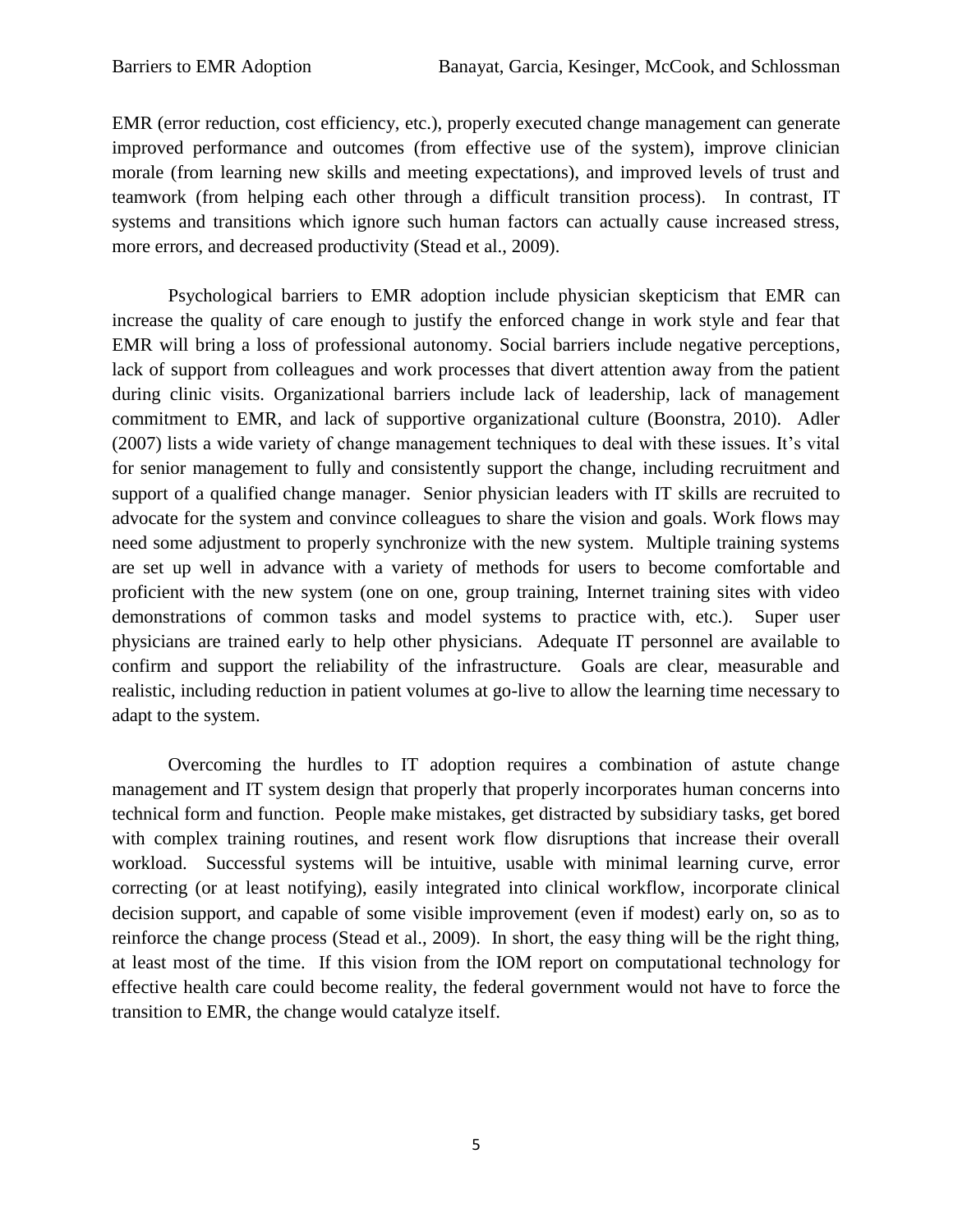EMR (error reduction, cost efficiency, etc.), properly executed change management can generate improved performance and outcomes (from effective use of the system), improve clinician morale (from learning new skills and meeting expectations), and improved levels of trust and teamwork (from helping each other through a difficult transition process). In contrast, IT systems and transitions which ignore such human factors can actually cause increased stress, more errors, and decreased productivity (Stead et al., 2009).

Psychological barriers to EMR adoption include physician skepticism that EMR can increase the quality of care enough to justify the enforced change in work style and fear that EMR will bring a loss of professional autonomy. Social barriers include negative perceptions, lack of support from colleagues and work processes that divert attention away from the patient during clinic visits. Organizational barriers include lack of leadership, lack of management commitment to EMR, and lack of supportive organizational culture (Boonstra, 2010). Adler (2007) lists a wide variety of change management techniques to deal with these issues. It's vital for senior management to fully and consistently support the change, including recruitment and support of a qualified change manager. Senior physician leaders with IT skills are recruited to advocate for the system and convince colleagues to share the vision and goals. Work flows may need some adjustment to properly synchronize with the new system. Multiple training systems are set up well in advance with a variety of methods for users to become comfortable and proficient with the new system (one on one, group training, Internet training sites with video demonstrations of common tasks and model systems to practice with, etc.). Super user physicians are trained early to help other physicians. Adequate IT personnel are available to confirm and support the reliability of the infrastructure. Goals are clear, measurable and realistic, including reduction in patient volumes at go-live to allow the learning time necessary to adapt to the system.

Overcoming the hurdles to IT adoption requires a combination of astute change management and IT system design that properly that properly incorporates human concerns into technical form and function. People make mistakes, get distracted by subsidiary tasks, get bored with complex training routines, and resent work flow disruptions that increase their overall workload. Successful systems will be intuitive, usable with minimal learning curve, error correcting (or at least notifying), easily integrated into clinical workflow, incorporate clinical decision support, and capable of some visible improvement (even if modest) early on, so as to reinforce the change process (Stead et al., 2009). In short, the easy thing will be the right thing, at least most of the time. If this vision from the IOM report on computational technology for effective health care could become reality, the federal government would not have to force the transition to EMR, the change would catalyze itself.